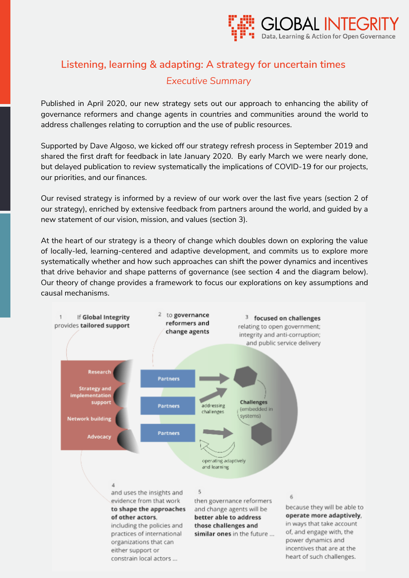

# **Listening, learning & adapting: A strategy for uncertain times**  *Executive Summary*

Published in April 2020, our new strategy sets out our approach to enhancing the ability of governance reformers and change agents in countries and communities around the world to address challenges relating to corruption and the use of public resources.

Supported by [Dave Algoso,](http://open-colab.org/) we [kicked off our strategy refresh process in September 2019](https://www.globalintegrity.org/2019/10/07/strategy-update/) and [shared the first draft](https://www.globalintegrity.org/2020/01/29/strategy-update-2/) for feedback in late January 2020. By early March we were nearly done, but delayed publication to [review systematically the implications of COVID-19 f](https://www.globalintegrity.org/2020/03/30/adapting-to-covid-19-sharing-learning-and-supporting/)or our projects, our priorities, and our finances.

Our revised strategy is informed by a review of our work over the last five years [\(section 2 of](#page-4-0) [our strategy\), e](#page-4-0)nriched by extensive feedback from partners around the world, and guided by a new statement of our vision, mission, and values [\(section 3\).](#page-8-0)

At the heart of our strategy is a theory of change which doubles down on exploring the value of locally-led, learning-centered and adaptive development, and commits us to explore more systematically whether and how such approaches can shift the power dynamics and incentives that drive behavior and shape patterns of governance [\(see section 4 a](#page-9-0)nd the diagram below). Our theory of change provides a framework to focus our explorations on key assumptions and causal mechanisms.

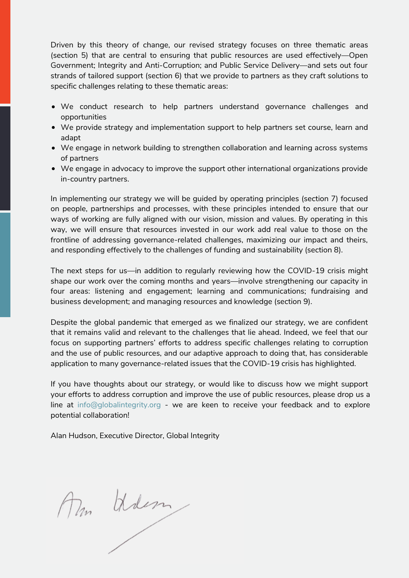Driven by this theory of change, our revised strategy focuses on three thematic areas [\(section 5\) t](#page-12-0)hat are central to ensuring that public resources are used effectively—Open Government; Integrity and Anti-Corruption; and Public Service Delivery—and sets out four strands of tailored support [\(s](#page-14-0)[ection 6\)](http://page3/) [t](#page-14-0)hat we provide to partners as they craft solutions to specific challenges relating to these thematic areas:

- We conduct research to help partners understand governance challenges and opportunities
- We provide strategy and implementation support to help partners set course, learn and adapt
- We engage in network building to strengthen collaboration and learning across systems of partners
- We engage in advocacy to improve the support other international organizations provide in-country partners.

In implementing our strategy we will be guided by operating principles [\(section 7\)](#page-16-0) focused on people, partnerships and processes, with these principles intended to ensure that our ways of working are fully aligned with our vision, mission and values. By operating in this way, we will ensure that resources invested in our work add real value to those on the frontline of addressing governance-related challenges, maximizing our impact and theirs, and responding effectively to the challenges of funding and sustainability [\(section 8\).](#page-18-0)

The next steps for us—in addition to regularly reviewing how the COVID-19 crisis might shape our work over the coming months and years—involve strengthening our capacity in four areas: listening and engagement; learning and communications; fundraising and business development; and managing resources and knowledge [\(section 9\).](#page-20-0) 

Despite the global pandemic that emerged as we finalized our strategy, we are confident that it remains valid and relevant to the challenges that lie ahead. Indeed, we feel that our focus on supporting partners' efforts to address specific challenges relating to corruption and the use of public resources, and our adaptive approach to doing that, has considerable application to many governance-related issues that the COVID-19 crisis has highlighted.

If you have thoughts about our strategy, or would like to discuss how we might support your efforts to address corruption and improve the use of public resources, please drop us a line at [info@globalintegrity.org](%20mailto:info@globalintegrity.org) - we are keen to receive your feedback and to explore potential collaboration!

Alan Hudson, Executive Director, Global Integrity

Mm Wilson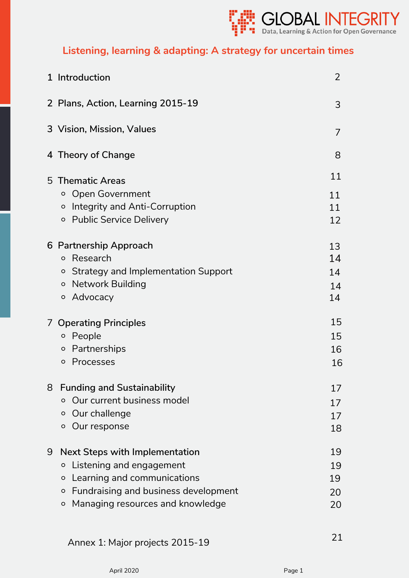

# **Listening, learning & adapting: A strategy for uncertain times**

|   | 1 Introduction                                  | $\overline{2}$ |
|---|-------------------------------------------------|----------------|
|   | 2 Plans, Action, Learning 2015-19               | 3              |
|   | 3 Vision, Mission, Values                       | 7              |
|   | 4 Theory of Change                              | 8              |
|   | 5 Thematic Areas                                | 11             |
|   | <b>Open Government</b><br>$\circ$               | 11             |
|   | Integrity and Anti-Corruption<br>$\circ$        | 11             |
|   | <b>Public Service Delivery</b><br>$\circ$       | 12             |
|   | 6 Partnership Approach                          | 13             |
|   | Research<br>$\circ$                             | 14             |
|   | <b>Strategy and Implementation Support</b><br>O | 14             |
|   | <b>Network Building</b><br>$\circ$              | 14             |
|   | Advocacy<br>$\circ$                             | 14             |
|   | 7 Operating Principles                          | 15             |
|   | People<br>$\circ$                               | 15             |
|   | Partnerships<br>$\circ$                         | 16             |
|   | Processes<br>O                                  | 16             |
| 8 | <b>Funding and Sustainability</b>               | 17             |
|   | Our current business model<br>$\circ$           | 17             |
|   | Our challenge<br>O                              | 17             |
|   | Our response<br>$\circ$                         | 18             |
| 9 | <b>Next Steps with Implementation</b>           | 19             |
|   | Listening and engagement<br>O                   | 19             |
|   | Learning and communications<br>$\circ$          | 19             |
|   | Fundraising and business development<br>$\circ$ | 20             |
|   | Managing resources and knowledge<br>$\circ$     | 20             |

[Annex 1: Major projects 2015-19](#page-22-0) 21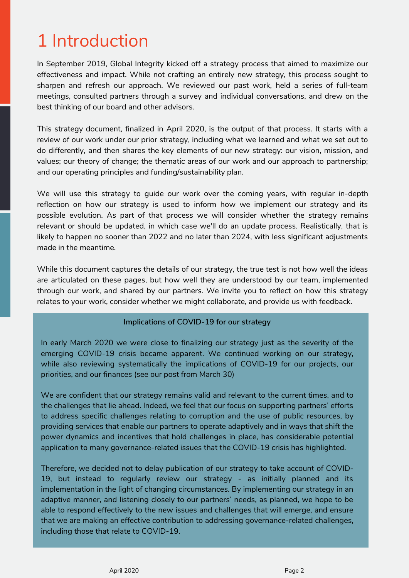# <span id="page-3-0"></span>1 Introduction

In September 2019, Global Integrity [kicked off a strategy process](https://www.globalintegrity.org/2019/10/07/strategy-update/) that aimed to maximize our effectiveness and impact. While not crafting an entirely new strategy, this process sought to sharpen and refresh our approach. We reviewed our past work, held a series of full-team meetings, consulted partners through a survey and individual conversations, and drew on the best thinking of our board and other advisors.

This strategy document, finalized in April 2020, is the output of that process. It starts with a review of our work under our prior strategy, including what we learned and what we set out to do differently, and then shares the key elements of our new strategy: our vision, mission, and values; our theory of change; the thematic areas of our work and our approach to partnership; and our operating principles and funding/sustainability plan.

We will use this strategy to quide our work over the coming years, with regular in-depth reflection on how our strategy is used to inform how we implement our strategy and its possible evolution. As part of that process we will consider whether the strategy remains relevant or should be updated, in which case we'll do an update process. Realistically, that is likely to happen no sooner than 2022 and no later than 2024, with less significant adjustments made in the meantime.

While this document captures the details of our strategy, the true test is not how well the ideas are articulated on these pages, but how well they are understood by our team, implemented through our work, and shared by our partners. We invite you to reflect on how this strategy relates to your work, consider whether we might collaborate, and provide us with feedback.

## **Implications of COVID-19 for our strategy**

In early March 2020 we were close to finalizing our strategy just as the severity of the emerging COVID-19 crisis became apparent. We continued working on our strategy, while also reviewing systematically the implications of COVID-19 for our projects, our priorities, and our finances [\(see our post from March 30\)](https://www.globalintegrity.org/2020/03/30/adapting-to-covid-19-sharing-learning-and-supporting/)

We are confident that our strategy remains valid and relevant to the current times, and to the challenges that lie ahead. Indeed, we feel that our focus on supporting partners' efforts to address specific challenges relating to corruption and the use of public resources, by providing services that enable our partners to operate adaptively and in ways that shift the power dynamics and incentives that hold challenges in place, has considerable potential application to many governance-related issues that the COVID-19 crisis has highlighted.

Therefore, we decided not to delay publication of our strategy to take account of COVID-19, but instead to regularly review our strategy - as initially planned and its implementation in the light of changing circumstances. By implementing our strategy in an adaptive manner, and listening closely to our partners' needs, as planned, we hope to be able to respond effectively to the new issues and challenges that will emerge, and ensure that we are making an effective contribution to addressing governance-related challenges, including those that relate to COVID-19.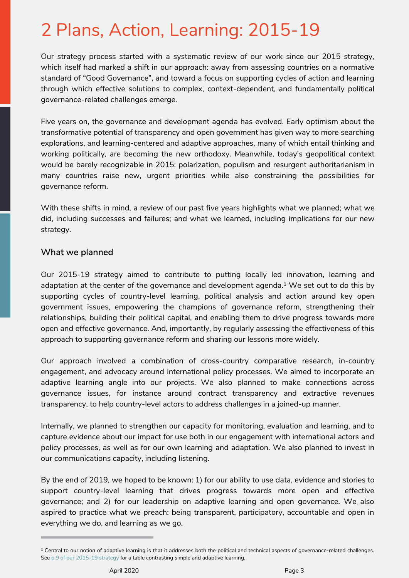# <span id="page-4-0"></span>2 Plans, Action, Learning: 2015-19

Our strategy process started with a systematic review of our work since our 2015 strategy, which itself had marked a shift in our approach: away from assessing countries on a normative standard of "Good Governance", and toward a focus on supporting cycles of action and learning through which effective solutions to complex, context-dependent, and fundamentally political governance-related challenges emerge.

Five years on, the governance and development agenda has evolved. Early optimism about the transformative potential of transparency and open government has given way to more searching explorations, and learning-centered and adaptive approaches, many of which entail thinking and working politically, are becoming [the new orthodoxy.](https://www.abtassociates.com/insights/publications/white-paper/thinking-and-working-politically-are-we-seeing-the-emergence-of) Meanwhile, today's geopolitical context would be barely recognizable in 2015: polarization, populism and resurgent authoritarianism in many countries raise new, urgent priorities while also constraining the possibilities for governance reform.

With these shifts in mind, a review of our past five years highlights what we planned; what we did, including successes and failures; and what we learned, including implications for our new strategy.

# **What we planned**

Our [2015-19 strategy](https://www.globalintegrity.org/wp-content/uploads/2018/12/GlobalIntegrityLearningtoopengovernanceStrategy.pdf) aimed to contribute to putting locally led innovation, learning and adaptation at the center of the governance and development agenda.<sup>1</sup> We set out to do this by supporting cycles of country-level learning, political analysis and action around key open government issues, empowering the champions of governance reform, strengthening their relationships, building their political capital, and enabling them to drive progress towards more open and effective governance. And, importantly, by regularly assessing the effectiveness of this approach to supporting governance reform and sharing our lessons more widely.

Our approach involved a combination of cross-country comparative research, in-country engagement, and advocacy around international policy processes. We aimed to incorporate an adaptive learning angle into our projects. We also planned to make connections across governance issues, for instance around contract transparency and extractive revenues transparency, to help country-level actors to address challenges in a joined-up manner.

Internally, we planned to strengthen our capacity for monitoring, evaluation and learning, and to capture evidence about our impact for use both in our engagement with international actors and policy processes, as well as for our own learning and adaptation. We also planned to invest in our communications capacity, including listening.

By the end of 2019, we hoped to be known: 1) for our ability to use data, evidence and stories to support country-level learning that drives progress towards more open and effective governance; and 2) for our leadership on adaptive learning and open governance. We also aspired to practice what we preach: being transparent, participatory, accountable and open in everything we do, and learning as we go.

<sup>&</sup>lt;sup>1</sup> Central to our notion of adaptive learning is that it addresses both the political and technical aspects of governance-related challenges. See [p.9 of our 2015-19 strategy](https://www.globalintegrity.org/wp-content/uploads/2018/12/GlobalIntegrityLearningtoopengovernanceStrategy.pdf) for a table contrasting simple and adaptive learning.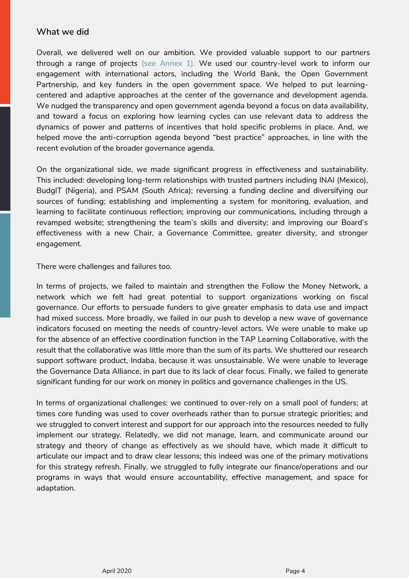# **What we did**

Overall, we delivered well on our ambition. We provided valuable support to our partners through a range of projects [\(see Annex 1\).](#page-22-0) We used our country-level work to inform our engagement with international actors, including the World Bank, the Open Government Partnership, and key funders in the open government space. We helped to put learningcentered and adaptive approaches at the center of the governance and development agenda. We nudged the transparency and open government agenda beyond a focus on data availability, and toward a focus on exploring how learning cycles can use relevant data to address the dynamics of power and patterns of incentives that hold specific problems in place. And, we helped move the anti-corruption agenda beyond "best practice" approaches, in line with the recent evolution of the broader governance agenda.

On the organizational side, we made significant progress in effectiveness and sustainability. This included: developing long-term relationships with trusted partners including INAI (Mexico), BudgIT (Nigeria), and PSAM (South Africa); reversing a funding decline and diversifying our sources of funding; establishing and implementing a system for monitoring, evaluation, and learning to facilitate continuous reflection; improving our communications, including through a revamped website; strengthening the team's skills and diversity; and improving our Board's effectiveness with a new Chair, a Governance Committee, greater diversity, and stronger engagement.

There were challenges and failures too.

In terms of projects, we failed to maintain and strengthen the Follow the Money Network, a network which we felt had great potential to support organizations working on fiscal governance. Our efforts to persuade funders to give greater emphasis to data use and impact had mixed success. More broadly, we failed in our push to develop a new wave of governance indicators focused on meeting the needs of country-level actors. We were unable to make up for the absence of an effective coordination function in the TAP Learning Collaborative, with the result that the collaborative was little more than the sum of its parts. We shuttered our research support software product, Indaba, because it was unsustainable. We were unable to leverage the Governance Data Alliance, in part due to its lack of clear focus. Finally, we failed to generate significant funding for our work on money in politics and governance challenges in the US.

In terms of organizational challenges: we continued to over-rely on a small pool of funders; at times core funding was used to cover overheads rather than to pursue strategic priorities; and we struggled to convert interest and support for our approach into the resources needed to fully implement our strategy. Relatedly, we did not manage, learn, and communicate around our strategy and theory of change as effectively as we should have, which made it difficult to articulate our impact and to draw clear lessons; this indeed was one of the primary motivations for this strategy refresh. Finally, we struggled to fully integrate our finance/operations and our programs in ways that would ensure accountability, effective management, and space for adaptation.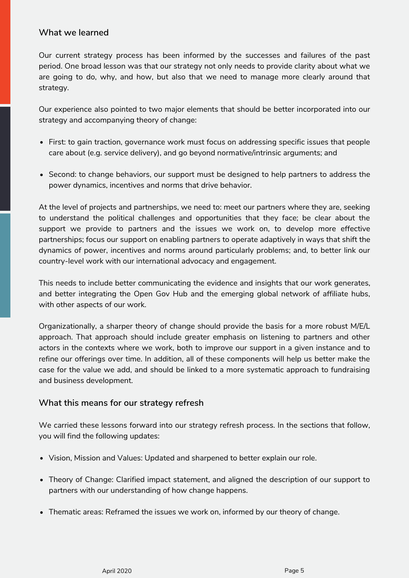# **What we learned**

Our current strategy process has been informed by the successes and failures of the past period. One broad lesson was that our strategy not only needs to provide clarity about what we are going to do, why, and how, but also that we need to manage more clearly around that strategy.

Our experience also pointed to two major elements that should be better incorporated into our strategy and accompanying theory of change:

- First: to gain traction, governance work must focus on addressing specific issues that people care about (e.g. service delivery), and go beyond normative/intrinsic arguments; and
- Second: to change behaviors, our support must be designed to help partners to address the power dynamics, incentives and norms that drive behavior.

At the level of projects and partnerships, we need to: meet our partners where they are, seeking to understand the political challenges and opportunities that they face; be clear about the support we provide to partners and the issues we work on, to develop more effective partnerships; focus our support on enabling partners to operate adaptively in ways that shift the dynamics of power, incentives and norms around particularly problems; and, to better link our country-level work with our international advocacy and engagement.

This needs to include better communicating the evidence and insights that our work generates, and better integrating the Open Gov Hub and the emerging global network of affiliate hubs, with other aspects of our work.

Organizationally, a sharper theory of change should provide the basis for a more robust M/E/L approach. That approach should include greater emphasis on listening to partners and other actors in the contexts where we work, both to improve our support in a given instance and to refine our offerings over time. In addition, all of these components will help us better make the case for the value we add, and should be linked to a more systematic approach to fundraising and business development.

# **What this means for our strategy refresh**

We carried these lessons forward into our strategy refresh process. In the sections that follow, you will find the following updates:

- Vision, Mission and Values: Updated and sharpened to better explain our role.
- Theory of Change: Clarified impact statement, and aligned the description of our support to partners with our understanding of how change happens.
- Thematic areas: Reframed the issues we work on, informed by our theory of change.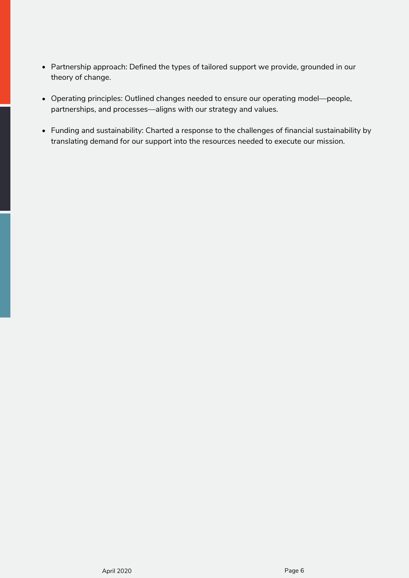- Partnership approach: Defined the types of tailored support we provide, grounded in our theory of change.
- Operating principles: Outlined changes needed to ensure our operating model—people, partnerships, and processes—aligns with our strategy and values.
- Funding and sustainability: Charted a response to the challenges of financial sustainability by translating demand for our support into the resources needed to execute our mission.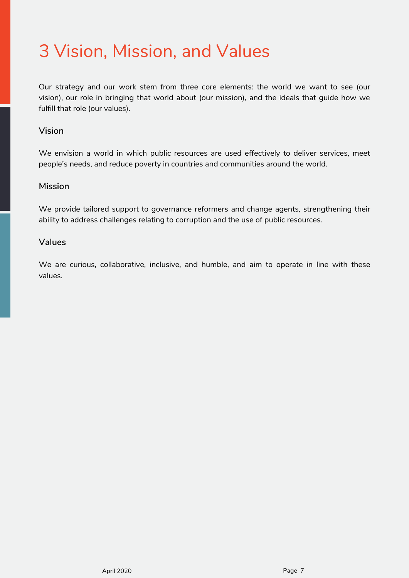# <span id="page-8-0"></span>3 Vision, Mission, and Values

Our strategy and our work stem from three core elements: the world we want to see (our vision), our role in bringing that world about (our mission), and the ideals that guide how we fulfill that role (our values).

# **Vision**

We envision a world in which public resources are used effectively to deliver services, meet people's needs, and reduce poverty in countries and communities around the world.

## **Mission**

We provide tailored support to governance reformers and change agents, strengthening their ability to address challenges relating to corruption and the use of public resources.

## **Values**

We are curious, collaborative, inclusive, and humble, and aim to operate in line with these values.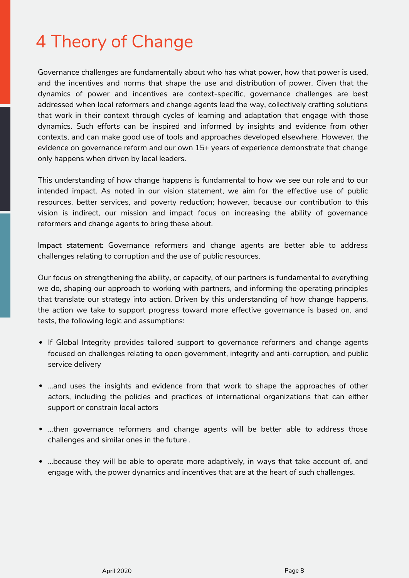# <span id="page-9-0"></span>4 Theory of Change

Governance challenges are fundamentally about who has what power, how that power is used, and the incentives and norms that shape the use and distribution of power. Given that the dynamics of power and incentives are context-specific, governance challenges are best addressed when local reformers and change agents lead the way, collectively crafting solutions that work in their context through cycles of learning and adaptation that engage with those dynamics. Such efforts can be inspired and informed by insights and evidence from other contexts, and can make good use of tools and approaches developed elsewhere. However, the evidence on governance reform and our own 15+ years of experience demonstrate that change only happens when driven by local leaders.

This understanding of how change happens is fundamental to how we see our role and to our intended impact. As noted in our vision statement, we aim for the effective use of public resources, better services, and poverty reduction; however, because our contribution to this vision is indirect, our mission and impact focus on increasing the ability of governance reformers and change agents to bring these about.

I**mpact statement:** Governance reformers and change agents are better able to address challenges relating to corruption and the use of public resources.

Our focus on strengthening the ability, or capacity, of our partners is fundamental to everything we do, shaping our approach to working with partners, and informing the operating principles that translate our strategy into action. Driven by this understanding of how change happens, the action we take to support progress toward more effective governance is based on, and tests, the following logic and assumptions:

- If Global Integrity provides tailored support to governance reformers and change agents focused on challenges relating to open government, integrity and anti-corruption, and public service delivery
- …and uses the insights and evidence from that work to shape the approaches of other actors, including the policies and practices of international organizations that can either support or constrain local actors
- ...then governance reformers and change agents will be better able to address those challenges and similar ones in the future .
- ...because they will be able to operate more adaptively, in ways that take account of, and engage with, the power dynamics and incentives that are at the heart of such challenges.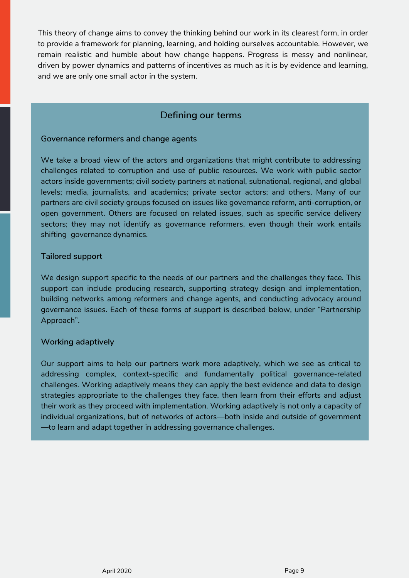This theory of change aims to convey the thinking behind our work in its clearest form, in order to provide a framework for planning, learning, and holding ourselves accountable. However, we remain realistic and humble about how change happens. Progress is messy and nonlinear, driven by power dynamics and patterns of incentives as much as it is by evidence and learning, and we are only one small actor in the system.

# D**efining our terms**

## **Governance reformers and change agents**

We take a broad view of the actors and organizations that might contribute to addressing challenges related to corruption and use of public resources. We work with public sector actors inside governments; civil society partners at national, subnational, regional, and global levels; media, journalists, and academics; private sector actors; and others. Many of our partners are civil society groups focused on issues like governance reform, anti-corruption, or open government. Others are focused on related issues, such as specific service delivery sectors; they may not identify as governance reformers, even though their work entails shifting governance dynamics.

## **Tailored support**

We design support specific to the needs of our partners and the challenges they face. This support can include producing research, supporting strategy design and implementation, building networks among reformers and change agents, and conducting advocacy around governance issues. Each of these forms of support is described below, under ["Partnership](#page-14-0) Approach".

## **Working adaptively**

Our support aims to help our partners work more adaptively, which we see as critical to addressing complex, context-specific and fundamentally political governance-related challenges. Working adaptively means they can apply the best evidence and data to design strategies appropriate to the challenges they face, then learn from their efforts and adjust their work as they proceed with implementation. Working adaptively is not only a capacity of individual organizations, but of networks of actors—both inside and outside of government —to learn and adapt together in addressing governance challenges.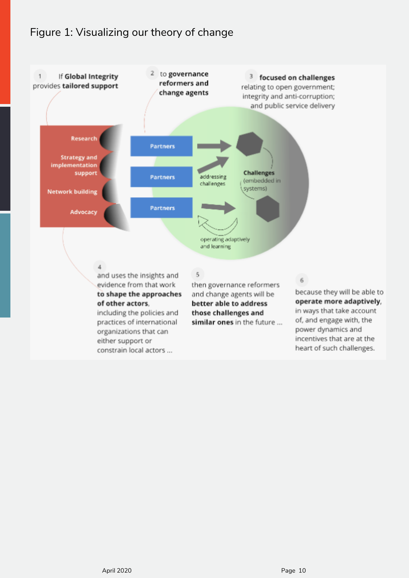# Figure 1: Visualizing our theory of change

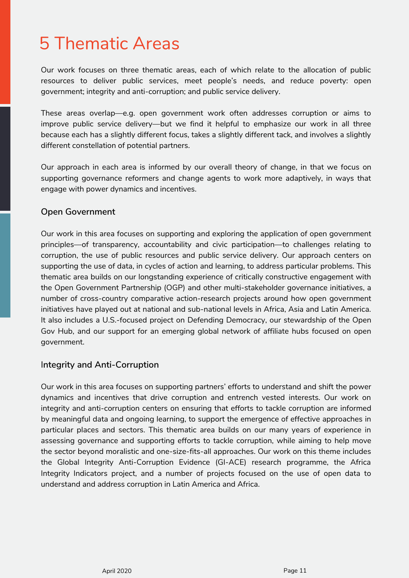# <span id="page-12-0"></span>5 Thematic Areas

Our work focuses on three thematic areas, each of which relate to the allocation of public resources to deliver public services, meet people's needs, and reduce poverty: open government; integrity and anti-corruption; and public service delivery.

These areas overlap—e.g. open government work often addresses corruption or aims to improve public service delivery—but we find it helpful to emphasize our work in all three because each has a slightly different focus, takes a slightly different tack, and involves a slightly different constellation of potential partners.

Our approach in each area is informed by our overall theory of change, in that we focus on supporting governance reformers and change agents to work more adaptively, in ways that engage with power dynamics and incentives.

# **Open Government**

Our work in this area focuses on supporting and exploring the application of open government principles—of transparency, accountability and civic participation—to challenges relating to corruption, the use of public resources and public service delivery. Our approach centers on supporting the use of data, in cycles of action and learning, to address particular problems. This thematic area builds on our longstanding experience of critically constructive engagement with the Open Government Partnership (OGP) and other multi-stakeholder governance initiatives, a number of cross-country comparative action-research projects around how open government initiatives have played out at national and sub-national levels in Africa, Asia and Latin America. It also includes a U.S.-focused project on [Defending Democracy,](https://www.defendingdemocracyopengovhub.org/) our stewardship of the Open Gov Hub, and our support for an emerging global network of affiliate hubs focused on open government.

# I**ntegrity and Anti-Corruption**

Our work in this area focuses on supporting partners' efforts to understand and shift the power dynamics and incentives that drive corruption and entrench vested interests. Our work on integrity and anti-corruption centers on ensuring that efforts to tackle corruption are informed by meaningful data and ongoing learning, to support the emergence of effective approaches in particular places and sectors. This thematic area builds on our many years of experience in assessing governance and supporting efforts to tackle corruption, while aiming to help move the sector beyond moralistic and one-size-fits-all approaches. Our work on this theme includes [the Global Integrity Anti-Corruption Evidence \(GI-ACE\) research programme,](https://ace.globalintegrity.org/) [the Africa](https://www.africaintegrityindicators.org/) [Integrity Indicators project,](https://www.africaintegrityindicators.org/) and a number of projects focused on the use of open data to understand and address corruption in Latin America and Africa.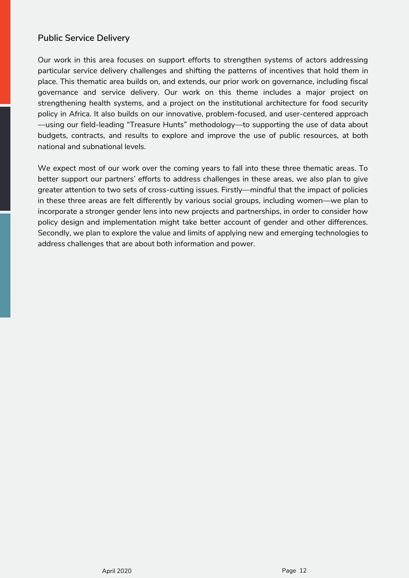# <span id="page-13-0"></span>**Public Service Delivery**

Our work in this area focuses on support efforts to strengthen systems of actors addressing particular service delivery challenges and shifting the patterns of incentives that hold them in place. This thematic area builds on, and extends, our prior work on governance, including fiscal governance and service delivery. Our work on this theme includes a major project on strengthening health systems, and a project on the institutional architecture for food security policy in Africa. It also builds on our innovative, problem-focused, and user-centered approach —using our field-leading "Treasure Hunts" methodology—to supporting the use of data about budgets, contracts, and results to explore and improve the use of public resources, at both national and subnational levels.

We expect most of our work over the coming years to fall into these three thematic areas. To better support our partners' efforts to address challenges in these areas, we also plan to give greater attention to two sets of cross-cutting issues. Firstly—mindful that the impact of policies in these three areas are felt differently by various social groups, including women—we plan to incorporate a stronger gender lens into new projects and partnerships, in order to consider how policy design and implementation might take better account of gender and other differences. Secondly, we plan to explore the value and limits of applying new and emerging technologies to address challenges that are about both information and power.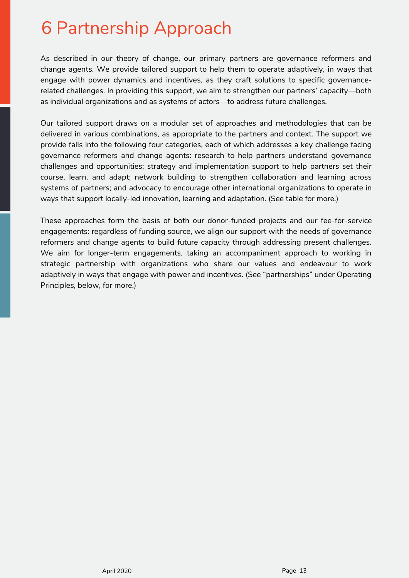# <span id="page-14-0"></span>6 Partnership Approach

As described in our theory of change, our primary partners are governance reformers and change agents. We provide tailored support to help them to operate adaptively, in ways that engage with power dynamics and incentives, as they craft solutions to specific governancerelated challenges. In providing this support, we aim to strengthen our partners' capacity—both as individual organizations and as systems of actors—to address future challenges.

Our tailored support draws on a modular set of approaches and methodologies that can be delivered in various combinations, as appropriate to the partners and context. The support we provide falls into the following four categories, each of which addresses a key challenge facing governance reformers and change agents: research to help partners understand governance challenges and opportunities; strategy and implementation support to help partners set their course, learn, and adapt; network building to strengthen collaboration and learning across systems of partners; and advocacy to encourage other international organizations to operate in ways that support locally-led innovation, learning and adaptation. [\(See table for more.\)](#page-15-0)

These approaches form the basis of both our donor-funded projects and our fee-for-service engagements: regardless of funding source, we align our support with the needs of governance reformers and change agents to build future capacity through addressing present challenges. We aim for longer-term engagements, taking an accompaniment approach to working in strategic partnership with organizations who share our values and endeavour to work adaptively in ways that engage with power and incentives. [\(See "partnerships" under Operating](#page-17-0) [Principles, below, for more.\)](#page-17-0)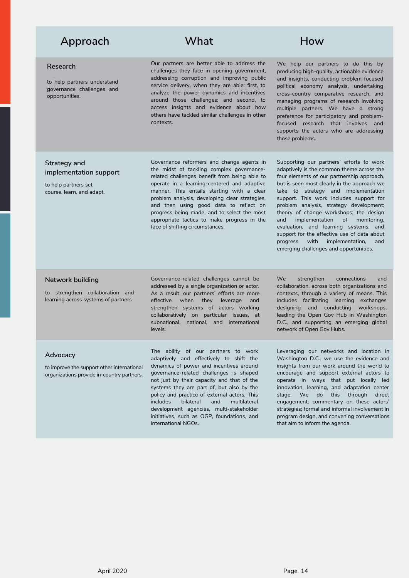# <span id="page-15-0"></span>Approach What How

#### **Research**

to help partners understand governance challenges and opportunities.

Our partners are better able to address the challenges they face in opening government, addressing corruption and improving public service delivery, when they are able: first, to analyze the power dynamics and incentives around those challenges; and second, to access insights and evidence about how others have tackled similar challenges in other contexts.

We help our partners to do this by producing high-quality, actionable evidence and insights, conducting problem-focused political economy analysis, undertaking cross-country comparative research, and managing programs of research involving multiple partners. We have a strong preference for participatory and problemfocused research that involves and supports the actors who are addressing those problems.

### **Strategy and implementation support**

to help partners set course, learn, and adapt.

Governance reformers and change agents in the midst of tackling complex governancerelated challenges benefit from being able to operate in a learning-centered and adaptive manner. This entails starting with a clear problem analysis, developing clear strategies, and then using good data to reflect on progress being made, and to select the most appropriate tactics to make progress in the face of shifting circumstances.

Supporting our partners' efforts to work adaptively is the common theme across the four elements of our partnership approach, but is seen most clearly in the approach we take to strategy and implementation support. This work includes support for problem analysis, strategy development; theory of change workshops; the design and implementation of monitoring, evaluation, and learning systems, and support for the effective use of data about progress with implementation, and emerging challenges and opportunities.

#### **Network building**

to strengthen collaboration and learning across systems of partners

Governance-related challenges cannot be addressed by a single organization or actor. As a result, our partners' efforts are more effective when they leverage and strengthen systems of actors working collaboratively on particular issues, at subnational, national, and international levels.

We strengthen connections and collaboration, across both organizations and contexts, through a variety of means. This includes facilitating learning exchanges designing and conducting workshops, leading the Open Gov Hub in Washington D.C., and supporting an emerging global network of Open Gov Hubs.

#### **Advocacy**

to improve the support other international organizations provide in-country partners. The ability of our partners to work adaptively and effectively to shift the dynamics of power and incentives around governance-related challenges is shaped not just by their capacity and that of the systems they are part of, but also by the policy and practice of external actors. This includes bilateral and multilateral development agencies, multi-stakeholder initiatives, such as OGP, foundations, and international NGOs.

Leveraging our networks and location in Washington D.C., we use the evidence and insights from our work around the world to encourage and support external actors to operate in ways that put locally led innovation, learning, and adaptation center stage. We do this through direct engagement; commentary on these actors' strategies; formal and informal involvement in program design, and convening conversations that aim to inform the agenda.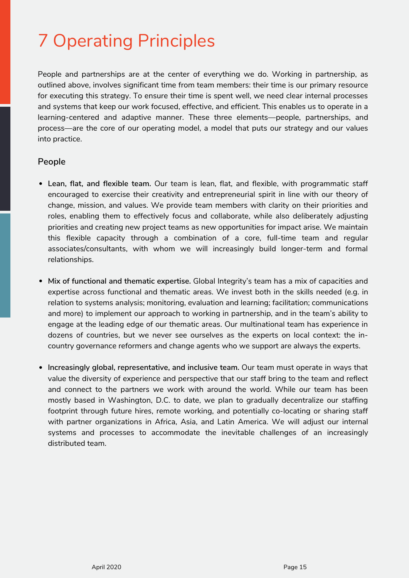# <span id="page-16-0"></span>7 Operating Principles

People and partnerships are at the center of everything we do. Working in partnership, as outlined above, involves significant time from team members: their time is our primary resource for executing this strategy. To ensure their time is spent well, we need clear internal processes and systems that keep our work focused, effective, and efficient. This enables us to operate in a learning-centered and adaptive manner. These three elements—people, partnerships, and process—are the core of our operating model, a model that puts our strategy and our values into practice.

## **People**

- **Lean, flat, and flexible team.** Our team is lean, flat, and flexible, with programmatic staff encouraged to exercise their creativity and entrepreneurial spirit in line with our theory of change, mission, and values. We provide team members with clarity on their priorities and roles, enabling them to effectively focus and collaborate, while also deliberately adjusting priorities and creating new project teams as new opportunities for impact arise. We maintain this flexible capacity through a combination of a core, full-time team and regular associates/consultants, with whom we will increasingly build longer-term and formal relationships.
- **Mix of functional and thematic expertise.** Global Integrity's team has a mix of capacities and expertise across functional and thematic areas. We invest both in the skills needed (e.g. in relation to systems analysis; monitoring, evaluation and learning; facilitation; communications and more) to implement our approach to working in partnership, and in the team's ability to engage at the leading edge of our thematic areas. Our multinational team has experience in dozens of countries, but we never see ourselves as the experts on local context: the incountry governance reformers and change agents who we support are always the experts.
- **Increasingly global, representative, and inclusive team.** Our team must operate in ways that value the diversity of experience and perspective that our staff bring to the team and reflect and connect to the partners we work with around the world. While our team has been mostly based in Washington, D.C. to date, we plan to gradually decentralize our staffing footprint through future hires, remote working, and potentially co-locating or sharing staff with partner organizations in Africa, Asia, and Latin America. We will adjust our internal systems and processes to accommodate the inevitable challenges of an increasingly distributed team.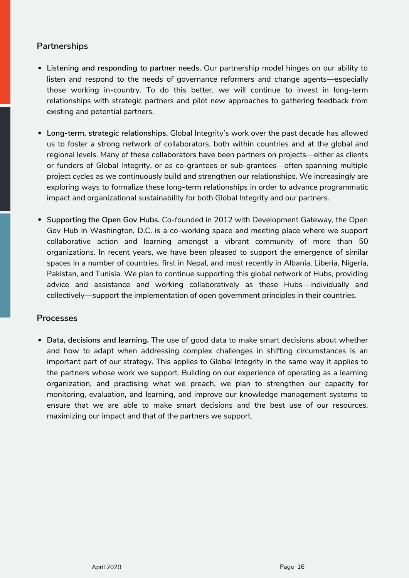# <span id="page-17-0"></span>**Partnerships**

- **Listening and responding to partner needs.** Our partnership model hinges on our ability to listen and respond to the needs of governance reformers and change agents—especially those working in-country. To do this better, we will continue to invest in long-term relationships with strategic partners and pilot new approaches to gathering feedback from existing and potential partners.
- **Long-term, strategic relationships.** Global Integrity's work over the past decade has allowed us to foster a strong network of collaborators, both within countries and at the global and regional levels. Many of these collaborators have been partners on projects—either as clients or funders of Global Integrity, or as co-grantees or sub-grantees—often spanning multiple project cycles as we continuously build and strengthen our relationships. We increasingly are exploring ways to formalize these long-term relationships in order to advance programmatic impact and organizational sustainability for both Global Integrity and our partners.
- **Supporting the Open Gov Hubs.** Co-founded in 2012 with Development Gateway, the Open Gov Hub in Washington, D.C. is a co-working space and meeting place where we support collaborative action and learning amongst a vibrant community of more than 50 organizations. In recent years, we have been pleased to support the emergence of similar spaces in a number of countries, first in Nepal, and most recently in Albania, Liberia, Nigeria, Pakistan, and Tunisia. We plan to continue supporting this global network of Hubs, providing advice and assistance and working collaboratively as these Hubs—individually and collectively—support the implementation of open government principles in their countries.

# **Processes**

**Data, decisions and learning.** The use of good data to make smart decisions about whether and how to adapt when addressing complex challenges in shifting circumstances is an important part of our strategy. This applies to Global Integrity in the same way it applies to the partners whose work we support. Building on our experience of operating as a learning organization, and practising what we preach, we plan to strengthen our capacity for monitoring, evaluation, and learning, and improve our knowledge management systems to ensure that we are able to make smart decisions and the best use of our resources, maximizing our impact and that of the partners we support.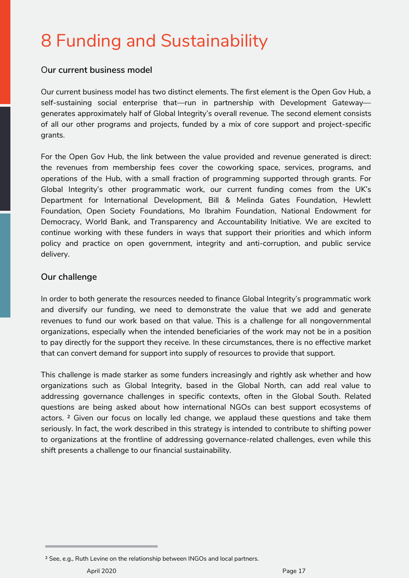# <span id="page-18-0"></span>8 Funding and Sustainability

# O**ur current business model**

Our current business model has two distinct elements. The first element is the Open Gov Hub, a self-sustaining social enterprise that—run in partnership with Development Gateway generates approximately half of Global Integrity's overall revenue. The second element consists of all our other programs and projects, funded by a mix of core support and project-specific grants.

For the Open Gov Hub, the link between the value provided and revenue generated is direct: the revenues from membership fees cover the coworking space, services, programs, and operations of the Hub, with a small fraction of programming supported through grants. For Global Integrity's other programmatic work, our current funding comes from the UK's Department for International Development, Bill & Melinda Gates Foundation, Hewlett Foundation, Open Society Foundations, Mo Ibrahim Foundation, National Endowment for Democracy, World Bank, and Transparency and Accountability Initiative. We are excited to continue working with these funders in ways that support their priorities and which inform policy and practice on open government, integrity and anti-corruption, and public service delivery.

# **Our challenge**

In order to both generate the resources needed to finance Global Integrity's programmatic work and diversify our funding, we need to demonstrate the value that we add and generate revenues to fund our work based on that value. This is a challenge for all nongovernmental organizations, especially when the intended beneficiaries of the work may not be in a position to pay directly for the support they receive. In these circumstances, there is no effective market that can convert demand for support into supply of resources to provide that support.

This challenge is made starker as some funders increasingly and rightly ask whether and how organizations such as Global Integrity, based in the Global North, can add real value to addressing governance challenges in specific contexts, often in the Global South. Related questions are being asked about how international NGOs can best support ecosystems of actors. ² Given our focus on locally led change, we applaud these questions and take them seriously. In fact, the work described in this strategy is intended to contribute to shifting power to organizations at the frontline of addressing governance-related challenges, even while this shift presents a challenge to our financial sustainability.

² See, e.g., [Ruth Levine on the relationship between INGOs and local partners.](https://cep.org/how-funders-can-help-reimagine-the-relationship-between-international-ngos-and-local-partners/)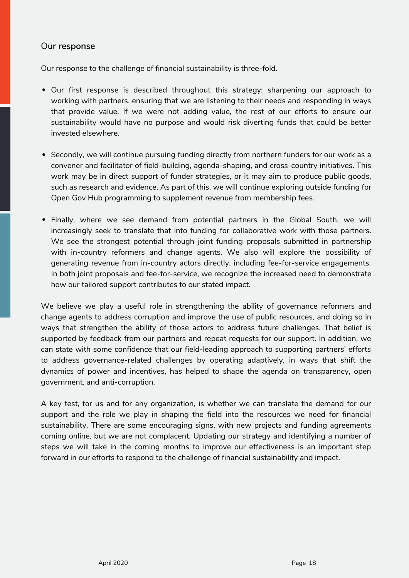# <span id="page-19-0"></span>O**ur response**

Our response to the challenge of financial sustainability is three-fold.

- Our first response is described throughout this strategy: sharpening our approach to working with partners, ensuring that we are listening to their needs and responding in ways that provide value. If we were not adding value, the rest of our efforts to ensure our sustainability would have no purpose and would risk diverting funds that could be better invested elsewhere.
- Secondly, we will continue pursuing funding directly from northern funders for our work as a convener and facilitator of field-building, agenda-shaping, and cross-country initiatives. This work may be in direct support of funder strategies, or it may aim to produce public goods, such as research and evidence. As part of this, we will continue exploring outside funding for Open Gov Hub programming to supplement revenue from membership fees.
- Finally, where we see demand from potential partners in the Global South, we will increasingly seek to translate that into funding for collaborative work with those partners. We see the strongest potential through joint funding proposals submitted in partnership with in-country reformers and change agents. We also will explore the possibility of generating revenue from in-country actors directly, including fee-for-service engagements. In both joint proposals and fee-for-service, we recognize the increased need to demonstrate how our tailored support contributes to our stated impact.

We believe we play a useful role in strengthening the ability of governance reformers and change agents to address corruption and improve the use of public resources, and doing so in ways that strengthen the ability of those actors to address future challenges. That belief is supported by feedback from our partners and repeat requests for our support. In addition, we can state with some confidence that our field-leading approach to supporting partners' efforts to address governance-related challenges by operating adaptively, in ways that shift the dynamics of power and incentives, has helped to shape the agenda on transparency, open government, and anti-corruption.

A key test, for us and for any organization, is whether we can translate the demand for our support and the role we play in shaping the field into the resources we need for financial sustainability. There are some encouraging signs, with new projects and funding agreements coming online, but we are not complacent. Updating our strategy and identifying a number of steps we will take in the coming months to improve our effectiveness is an important step forward in our efforts to respond to the challenge of financial sustainability and impact.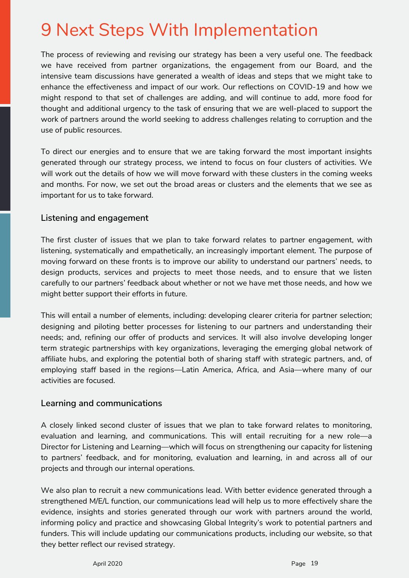# <span id="page-20-0"></span>9 Next Steps With Implementation

The process of reviewing and revising our strategy has been a very useful one. The feedback we have received from partner organizations, the engagement from our Board, and the intensive team discussions have generated a wealth of ideas and steps that we might take to enhance the effectiveness and impact of our work. Our reflections on COVID-19 and how we might respond to that set of challenges are adding, and will continue to add, more food for thought and additional urgency to the task of ensuring that we are well-placed to support the work of partners around the world seeking to address challenges relating to corruption and the use of public resources.

To direct our energies and to ensure that we are taking forward the most important insights generated through our strategy process, we intend to focus on four clusters of activities. We will work out the details of how we will move forward with these clusters in the coming weeks and months. For now, we set out the broad areas or clusters and the elements that we see as important for us to take forward.

# **Listening and engagement**

The first cluster of issues that we plan to take forward relates to partner engagement, with listening, systematically and empathetically, an increasingly important element. The purpose of moving forward on these fronts is to improve our ability to understand our partners' needs, to design products, services and projects to meet those needs, and to ensure that we listen carefully to our partners' feedback about whether or not we have met those needs, and how we might better support their efforts in future.

This will entail a number of elements, including: developing clearer criteria for partner selection; designing and piloting better processes for listening to our partners and understanding their needs; and, refining our offer of products and services. It will also involve developing longer term strategic partnerships with key organizations, leveraging the emerging global network of affiliate hubs, and exploring the potential both of sharing staff with strategic partners, and, of employing staff based in the regions—Latin America, Africa, and Asia—where many of our activities are focused.

## **Learning and communications**

A closely linked second cluster of issues that we plan to take forward relates to monitoring, evaluation and learning, and communications. This will entail recruiting for a new role—a Director for Listening and Learning—which will focus on strengthening our capacity for listening to partners' feedback, and for monitoring, evaluation and learning, in and across all of our projects and through our internal operations.

We also plan to recruit a new communications lead. With better evidence generated through a strengthened M/E/L function, our communications lead will help us to more effectively share the evidence, insights and stories generated through our work with partners around the world, informing policy and practice and showcasing Global Integrity's work to potential partners and funders. This will include updating our communications products, including our website, so that they better reflect our revised strategy.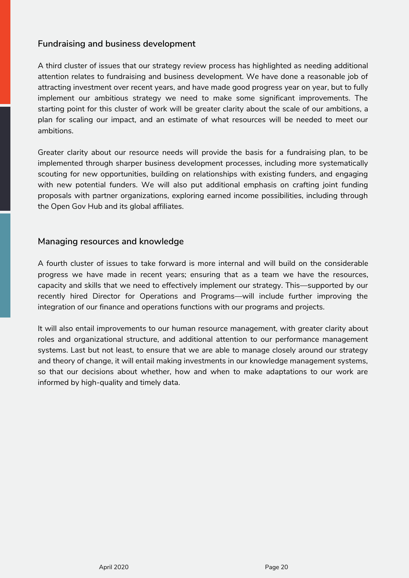# <span id="page-21-0"></span>**Fundraising and business development**

A third cluster of issues that our strategy review process has highlighted as needing additional attention relates to fundraising and business development. We have done a reasonable job of attracting investment over recent years, and have made good progress year on year, but to fully implement our ambitious strategy we need to make some significant improvements. The starting point for this cluster of work will be greater clarity about the scale of our ambitions, a plan for scaling our impact, and an estimate of what resources will be needed to meet our ambitions.

Greater clarity about our resource needs will provide the basis for a fundraising plan, to be implemented through sharper business development processes, including more systematically scouting for new opportunities, building on relationships with existing funders, and engaging with new potential funders. We will also put additional emphasis on crafting joint funding proposals with partner organizations, exploring earned income possibilities, including through the Open Gov Hub and its global affiliates.

## **Managing resources and knowledge**

A fourth cluster of issues to take forward is more internal and will build on the considerable progress we have made in recent years; ensuring that as a team we have the resources, capacity and skills that we need to effectively implement our strategy. This—supported by our recently hired Director for Operations and Programs—will include further improving the integration of our finance and operations functions with our programs and projects.

It will also entail improvements to our human resource management, with greater clarity about roles and organizational structure, and additional attention to our performance management systems. Last but not least, to ensure that we are able to manage closely around our strategy and theory of change, it will entail making investments in our knowledge management systems, so that our decisions about whether, how and when to make adaptations to our work are informed by high-quality and timely data.